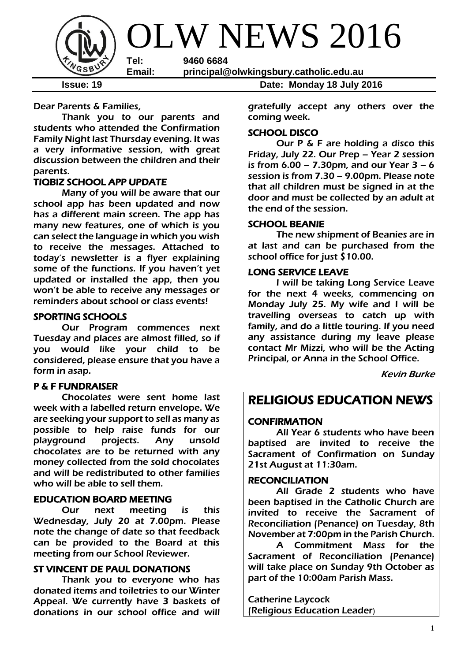

Dear Parents & Families,

Thank you to our parents and students who attended the Confirmation Family Night last Thursday evening. It was a very informative session, with great discussion between the children and their parents.

#### TIQBIZ SCHOOL APP UPDATE

Many of you will be aware that our school app has been updated and now has a different main screen. The app has many new features, one of which is you can select the language in which you wish to receive the messages. Attached to today's newsletter is a flyer explaining some of the functions. If you haven't yet updated or installed the app, then you won't be able to receive any messages or reminders about school or class events!

#### SPORTING SCHOOLS

 Our Program commences next Tuesday and places are almost filled, so if you would like your child to be considered, please ensure that you have a form in asap.

## P & F FUNDRAISER

 Chocolates were sent home last week with a labelled return envelope. We are seeking your support to sell as many as possible to help raise funds for our playground projects. Any unsold chocolates are to be returned with any money collected from the sold chocolates and will be redistributed to other families who will be able to sell them.

## EDUCATION BOARD MEETING

Our next meeting is this Wednesday, July 20 at 7.00pm. Please note the change of date so that feedback can be provided to the Board at this meeting from our School Reviewer.

#### ST VINCENT DE PAUL DONATIONS

Thank you to everyone who has donated items and toiletries to our Winter Appeal. We currently have 3 baskets of donations in our school office and will

**Issue: 19 Date: Monday 18 July 2016**

gratefully accept any others over the coming week.

#### SCHOOL DISCO

Our P & F are holding a disco this Friday, July 22. Our Prep - Year 2 session is from  $6.00 - 7.30$ pm, and our Year  $3 - 6$ session is from 7.30 – 9.00pm. Please note that all children must be signed in at the door and must be collected by an adult at the end of the session.

#### SCHOOL BEANIE

 The new shipment of Beanies are in at last and can be purchased from the school office for just \$10.00.

#### LONG SERVICE LEAVE

I will be taking Long Service Leave for the next 4 weeks, commencing on Monday July 25. My wife and I will be travelling overseas to catch up with family, and do a little touring. If you need any assistance during my leave please contact Mr Mizzi, who will be the Acting Principal, or Anna in the School Office.

Kevin Burke

# RELIGIOUS EDUCATION NEWS

#### **CONFIRMATION**

All Year 6 students who have been baptised are invited to receive the Sacrament of Confirmation on Sunday 21st August at 11:30am.

#### RECONCILIATION

All Grade 2 students who have been baptised in the Catholic Church are invited to receive the Sacrament of Reconciliation (Penance) on Tuesday, 8th November at 7:00pm in the Parish Church.

A Commitment Mass for the Sacrament of Reconciliation (Penance) will take place on Sunday 9th October as part of the 10:00am Parish Mass.

Catherine Laycock (Religious Education Leader)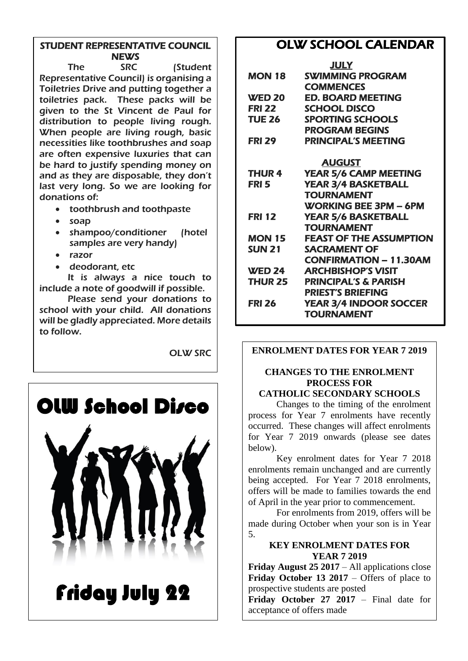# STUDENT REPRESENTATIVE COUNCIL **NEWS**

The SRC (Student Representative Council) is organising a Toiletries Drive and putting together a toiletries pack. These packs will be given to the St Vincent de Paul for distribution to people living rough. When people are living rough, basic necessities like toothbrushes and soap are often expensive luxuries that can be hard to justify spending money on and as they are disposable, they don't last very long. So we are looking for donations of:

- toothbrush and toothpaste
- soap
- shampoo/conditioner (hotel samples are very handy)
- razor
- deodorant, etc

It is always a nice touch to include a note of goodwill if possible.

Please send your donations to school with your child. All donations will be gladly appreciated. More details to follow.

OLW SRC



# OLW SCHOOL CALENDAR

| <b>SWIMMING PROGRAM</b>         |
|---------------------------------|
|                                 |
| <b>ED. BOARD MEETING</b>        |
|                                 |
| <b>SPORTING SCHOOLS</b>         |
|                                 |
| <b>PRINCIPAL'S MEETING</b>      |
|                                 |
| <b>YEAR 5/6 CAMP MEETING</b>    |
| <b>YEAR 3/4 BASKETBALL</b>      |
|                                 |
| <b>WORKING BEE 3PM - 6PM</b>    |
| <b>YEAR 5/6 BASKETBALL</b>      |
|                                 |
| <b>FEAST OF THE ASSUMPTION</b>  |
|                                 |
| <b>CONFIRMATION - 11.30AM</b>   |
| <b>ARCHBISHOP'S VISIT</b>       |
| <b>PRINCIPAL'S &amp; PARISH</b> |
|                                 |
| <b>YEAR 3/4 INDOOR SOCCER</b>   |
|                                 |
|                                 |

#### **ENROLMENT DATES FOR YEAR 7 2019**

# **CHANGES TO THE ENROLMENT PROCESS FOR**

#### **CATHOLIC SECONDARY SCHOOLS**

Changes to the timing of the enrolment process for Year 7 enrolments have recently occurred. These changes will affect enrolments for Year 7 2019 onwards (please see dates below).

Key enrolment dates for Year 7 2018 enrolments remain unchanged and are currently being accepted. For Year 7 2018 enrolments, offers will be made to families towards the end of April in the year prior to commencement.

For enrolments from 2019, offers will be made during October when your son is in Year 5.

#### **KEY ENROLMENT DATES FOR YEAR 7 2019**

**Friday August 25 2017** – All applications close **Friday October 13 2017** – Offers of place to prospective students are posted

**Friday October 27 2017** – Final date for acceptance of offers made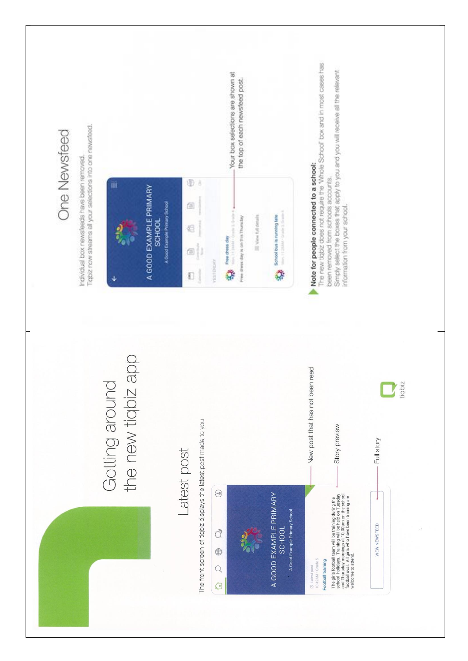| One Newsfeed                                                                                             |                                                                                     | Your box selections are shown at<br>the top of each newsfeed post.                                                                                                                                                                         | The new tigbiz does not require the "Whole School" box and in most cases has                                                                                                                                                                                        |
|----------------------------------------------------------------------------------------------------------|-------------------------------------------------------------------------------------|--------------------------------------------------------------------------------------------------------------------------------------------------------------------------------------------------------------------------------------------|---------------------------------------------------------------------------------------------------------------------------------------------------------------------------------------------------------------------------------------------------------------------|
| Tigbiz now streams all your selections into one newsfeed.<br>Individual box newsfeeds have been removed. | ÌЙ<br>A GOOD EXAMPLE PRIMARY<br>A Good Example Primary School<br><b>SCHOOL</b><br>↓ | Φ<br>ð<br>G)<br>Mary, 11 20444 - Grante 3, Grante 4<br>School bus is running late<br>Free chees day is on this Thursday<br>El View full details<br>€<br>Miri Historic Court<br>Free chase day<br>Þ<br>č0<br><b>ESTERIA</b><br>¢<br>Q.<br>Ð | Simply select the boxes that apply to you and you will receive all the relevant<br>Note for people connected to a school:<br>been removed from schools accounts.<br>information from your school.                                                                   |
|                                                                                                          | the new tigbiz app<br>Getting around                                                | Latest post                                                                                                                                                                                                                                | read<br>New post that has not been<br>tiqbiz<br>Story preview<br>Full story                                                                                                                                                                                         |
|                                                                                                          |                                                                                     | The front screen of tigbiz displays the latest post made to you<br>$\odot$<br>A GOOD EXAMPLE PRIMARY<br>A Good Example Primary School<br><b>SCHOOL</b><br>đ<br>0<br>Q<br>€                                                                 | The girls football team will be training during the<br>school holidays. Training will be held on Tuesday<br>and Thursday mornings at 10.00am on the school<br>welcome to attend.<br>VIEW NEWSFEED<br>10:42AM · Grade 5<br>Football training<br><b>O</b> Latest post |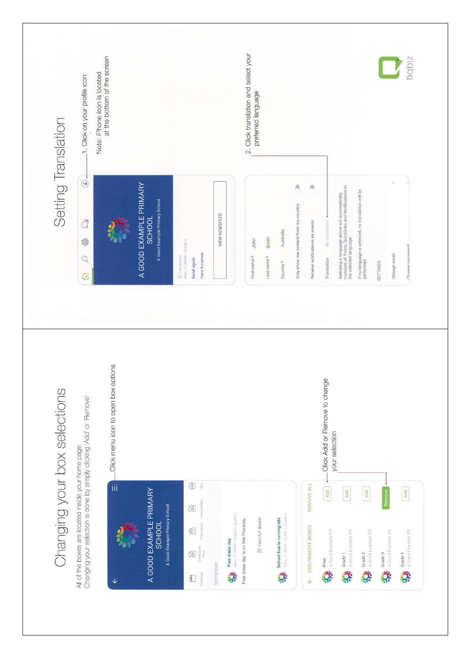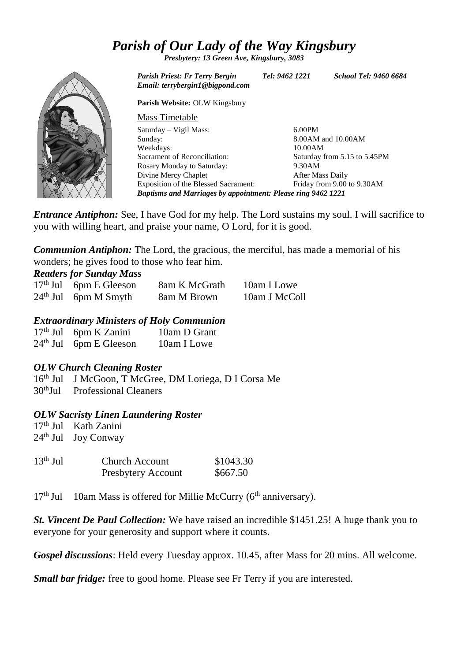# *Parish of Our Lady of the Way Kingsbury*

*Presbytery: 13 Green Ave, Kingsbury, 3083*



*Parish Priest: Fr Terry Bergin Tel: 9462 1221 School Tel: 9460 6684 Email: terrybergin1@bigpond.com*

**Parish Website:** OLW Kingsbury

| <b>Mass Timetable</b>                                        |                              |  |  |
|--------------------------------------------------------------|------------------------------|--|--|
| Saturday – Vigil Mass:                                       | $6.00$ PM                    |  |  |
| Sunday:                                                      | 8.00AM and 10.00AM           |  |  |
| Weekdays:                                                    | 10.00AM                      |  |  |
| Sacrament of Reconciliation:                                 | Saturday from 5.15 to 5.45PM |  |  |
| Rosary Monday to Saturday:                                   | 9.30AM                       |  |  |
| Divine Mercy Chaplet                                         | After Mass Daily             |  |  |
| Exposition of the Blessed Sacrament:                         | Friday from 9.00 to 9.30AM   |  |  |
| Baptisms and Marriages by appointment: Please ring 9462 1221 |                              |  |  |

*Entrance Antiphon:* See, I have God for my help. The Lord sustains my soul. I will sacrifice to you with willing heart, and praise your name, O Lord, for it is good.

*Communion Antiphon:* The Lord, the gracious, the merciful, has made a memorial of his wonders; he gives food to those who fear him.

# *Readers for Sunday Mass*

| $17th$ Jul 6pm E Gleeson | 8am K McGrath | 10am I Lowe   |
|--------------------------|---------------|---------------|
| $24th$ Jul 6pm M Smyth   | 8am M Brown   | 10am J McColl |

#### *Extraordinary Ministers of Holy Communion*

| $17th$ Jul 6pm K Zanini  | 10am D Grant |
|--------------------------|--------------|
| $24th$ Jul 6pm E Gleeson | 10am I Lowe  |

## *OLW Church Cleaning Roster*

16th Jul J McGoon, T McGree, DM Loriega, D I Corsa Me 30thJul Professional Cleaners

## *OLW Sacristy Linen Laundering Roster*

17th Jul Kath Zanini  $24<sup>th</sup>$  Jul Joy Conway

| $13th$ Jul | <b>Church Account</b> | \$1043.30 |
|------------|-----------------------|-----------|
|            | Presbytery Account    | \$667.50  |

17<sup>th</sup> Jul 10am Mass is offered for Millie McCurry (6<sup>th</sup> anniversary).

*St. Vincent De Paul Collection:* We have raised an incredible \$1451.25! A huge thank you to everyone for your generosity and support where it counts.

*Gospel discussions*: Held every Tuesday approx. 10.45, after Mass for 20 mins. All welcome.

*Small bar fridge:* free to good home. Please see Fr Terry if you are interested.